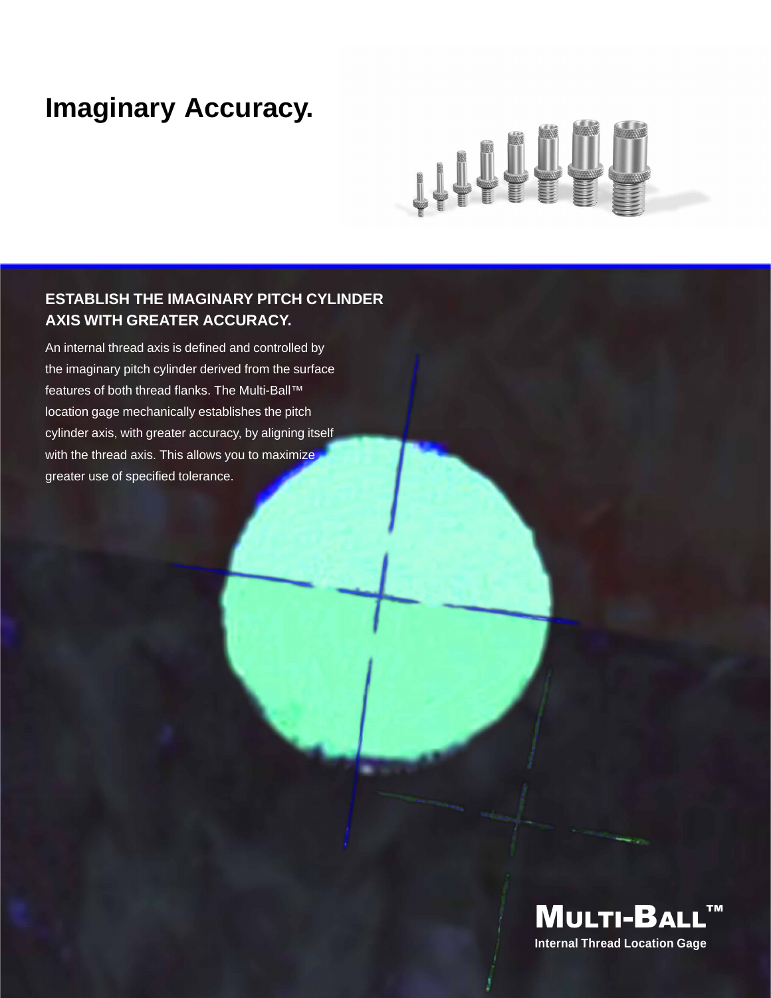### **Imaginary Accuracy.**

# 

#### **ESTABLISH THE IMAGINARY PITCH CYLINDER AXIS WITH GREATER ACCURACY.**

An internal thread axis is defined and controlled by the imaginary pitch cylinder derived from the surface features of both thread flanks. The Multi-Ball™ location gage mechanically establishes the pitch cylinder axis, with greater accuracy, by aligning itself with the thread axis. This allows you to maximize greater use of specified tolerance.